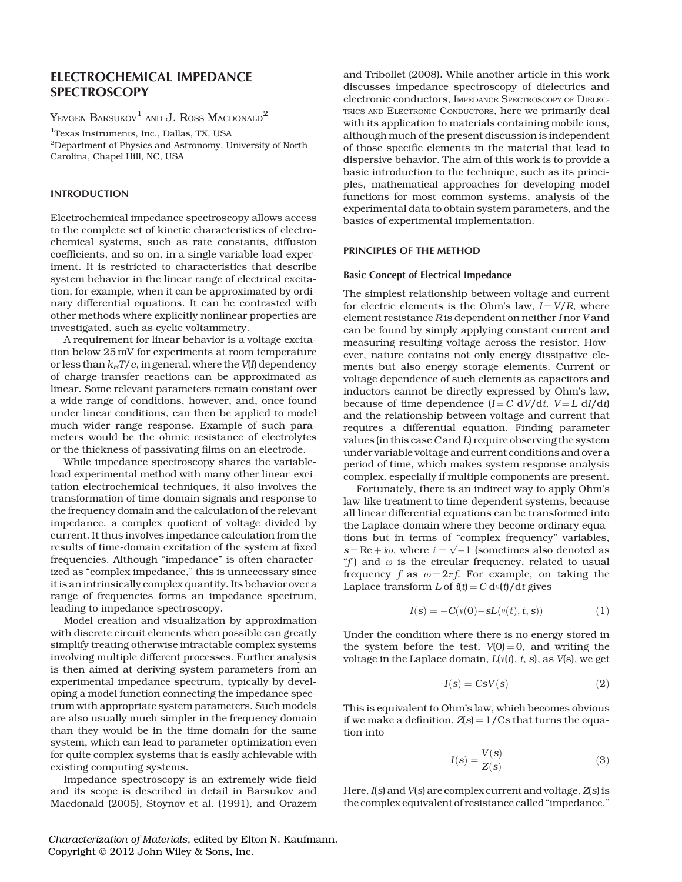# ELECTROCHEMICAL IMPEDANCE **SPECTROSCOPY**

YEVGEN BARSUKOV<sup>1</sup> AND J. ROSS MACDONALD<sup>2</sup>

1 Texas Instruments, Inc., Dallas, TX, USA <sup>2</sup>Department of Physics and Astronomy, University of North Carolina, Chapel Hill, NC, USA

## INTRODUCTION

Electrochemical impedance spectroscopy allows access to the complete set of kinetic characteristics of electrochemical systems, such as rate constants, diffusion coefficients, and so on, in a single variable-load experiment. It is restricted to characteristics that describe system behavior in the linear range of electrical excitation, for example, when it can be approximated by ordinary differential equations. It can be contrasted with other methods where explicitly nonlinear properties are investigated, such as cyclic voltammetry.

A requirement for linear behavior is a voltage excitation below 25 mV for experiments at room temperature or less than  $k_BT/e$ , in general, where the V(I) dependency of charge-transfer reactions can be approximated as linear. Some relevant parameters remain constant over a wide range of conditions, however, and, once found under linear conditions, can then be applied to model much wider range response. Example of such parameters would be the ohmic resistance of electrolytes or the thickness of passivating films on an electrode.

While impedance spectroscopy shares the variableload experimental method with many other linear-excitation electrochemical techniques, it also involves the transformation of time-domain signals and response to the frequency domain and the calculation of the relevant impedance, a complex quotient of voltage divided by current. It thus involves impedance calculation from the results of time-domain excitation of the system at fixed frequencies. Although "impedance" is often characterized as "complex impedance," this is unnecessary since it is an intrinsically complex quantity. Its behavior over a range of frequencies forms an impedance spectrum, leading to impedance spectroscopy.

Model creation and visualization by approximation with discrete circuit elements when possible can greatly simplify treating otherwise intractable complex systems involving multiple different processes. Further analysis is then aimed at deriving system parameters from an experimental impedance spectrum, typically by developing a model function connecting the impedance spectrum with appropriate system parameters. Such models are also usually much simpler in the frequency domain than they would be in the time domain for the same system, which can lead to parameter optimization even for quite complex systems that is easily achievable with existing computing systems.

Impedance spectroscopy is an extremely wide field and its scope is described in detail in Barsukov and Macdonald (2005), Stoynov et al. (1991), and Orazem and Tribollet (2008). While another article in this work discusses impedance spectroscopy of dielectrics and electronic conductors, IMPEDANCE SPECTROSCOPY OF DIELEC-TRICS AND ELECTRONIC CONDUCTORS, here we primarily deal with its application to materials containing mobile ions, although much of the present discussion is independent of those specific elements in the material that lead to dispersive behavior. The aim of this work is to provide a basic introduction to the technique, such as its principles, mathematical approaches for developing model functions for most common systems, analysis of the experimental data to obtain system parameters, and the basics of experimental implementation.

# PRINCIPLES OF THE METHOD

## Basic Concept of Electrical Impedance

The simplest relationship between voltage and current for electric elements is the Ohm's law,  $I = V/R$ , where element resistance R is dependent on neither I nor V and can be found by simply applying constant current and measuring resulting voltage across the resistor. However, nature contains not only energy dissipative elements but also energy storage elements. Current or voltage dependence of such elements as capacitors and inductors cannot be directly expressed by Ohm's law, because of time dependence  $(I = C dV/dt, V = L dI/dt)$ and the relationship between voltage and current that requires a differential equation. Finding parameter values (in this case C and L) require observing the system under variable voltage and current conditions and over a period of time, which makes system response analysis complex, especially if multiple components are present.

Fortunately, there is an indirect way to apply Ohm's law-like treatment to time-dependent systems, because all linear differential equations can be transformed into the Laplace-domain where they become ordinary equations but in terms of "complex frequency" variables,  $s = Re + i\omega$ , where  $i = \sqrt{-1}$  (sometimes also denoted as<br>"i") and  $\omega$  is the circular frequency related to usual "j") and  $\omega$  is the circular frequency, related to usual frequency f as  $\omega = 2\pi f$ . For example, on taking the Laplace transform L of  $i(t) = C dv(t)/dt$  gives

$$
I(s) = -C(v(0) - sL(v(t), t, s))
$$
 (1)

Under the condition where there is no energy stored in the system before the test,  $V(0) = 0$ , and writing the voltage in the Laplace domain,  $L(v(t), t, s)$ , as  $V(s)$ , we get

$$
I(s) = CsV(s) \tag{2}
$$

This is equivalent to Ohm's law, which becomes obvious if we make a definition,  $Z(s) = 1/Cs$  that turns the equation into

$$
I(s) = \frac{V(s)}{Z(s)}\tag{3}
$$

Here,  $I(s)$  and  $V(s)$  are complex current and voltage,  $Z(s)$  is the complex equivalent of resistance called "impedance,"

Characterization of Materials, edited by Elton N. Kaufmann. Copyright 2012 John Wiley & Sons, Inc.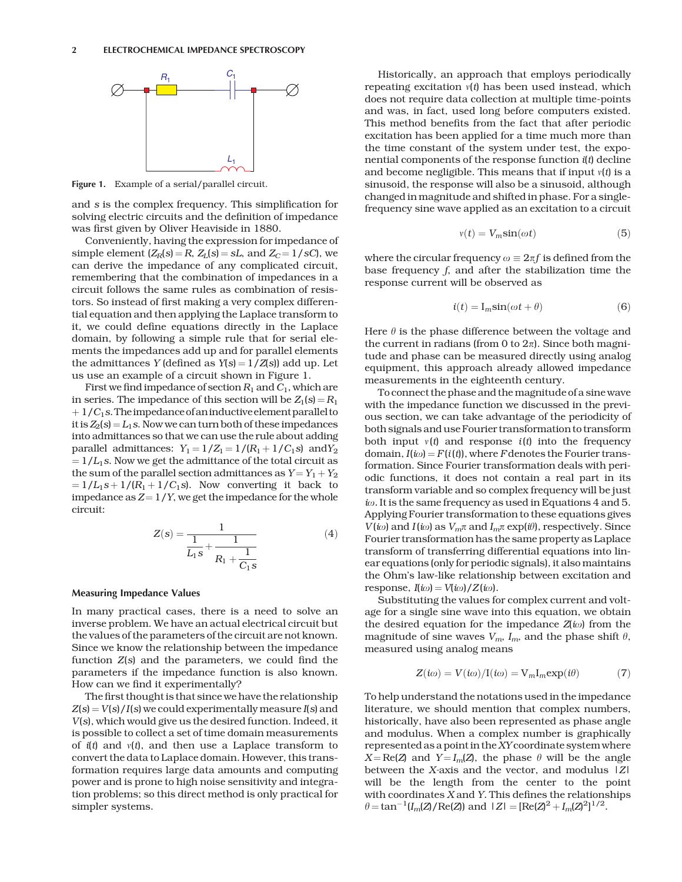

Figure 1. Example of a serial/parallel circuit.

and s is the complex frequency. This simplification for solving electric circuits and the definition of impedance was first given by Oliver Heaviside in 1880.

Conveniently, having the expression for impedance of simple element  $(Z_R(s) = R, Z_L(s) = sL$ , and  $Z_C = 1/sC$ , we can derive the impedance of any complicated circuit, remembering that the combination of impedances in a circuit follows the same rules as combination of resistors. So instead of first making a very complex differential equation and then applying the Laplace transform to it, we could define equations directly in the Laplace domain, by following a simple rule that for serial elements the impedances add up and for parallel elements the admittances Y (defined as  $Y(s) = 1/Z(s)$ ) add up. Let us use an example of a circuit shown in Figure 1.

First we find impedance of section  $R_1$  and  $C_1$ , which are in series. The impedance of this section will be  $Z_1(s) = R_1$  $+1/C<sub>1</sub>$ s. The impedance of an inductive element parallel to it is  $Z_2(s) = L_1 s$ . Now we can turn both of these impedances into admittances so that we can use the rule about adding parallel admittances:  $Y_1 = 1/Z_1 = 1/(R_1+1/C_1s)$  and  $Y_2$  $= 1/L<sub>1</sub>$ s. Now we get the admittance of the total circuit as the sum of the parallel section admittances as  $Y = Y_1 + Y_2$  $= 1/L_1s + 1/(R_1+1/C_1s)$ . Now converting it back to impedance as  $Z = 1/Y$ , we get the impedance for the whole circuit:

$$
Z(s) = \frac{1}{\frac{1}{L_1 s} + \frac{1}{R_1 + \frac{1}{C_1 s}}} \tag{4}
$$

#### Measuring Impedance Values

In many practical cases, there is a need to solve an inverse problem. We have an actual electrical circuit but the values of the parameters of the circuit are not known. Since we know the relationship between the impedance function  $Z(s)$  and the parameters, we could find the parameters if the impedance function is also known. How can we find it experimentally?

The first thought is that since we have the relationship  $Z(s) = V(s)/I(s)$  we could experimentally measure I(s) and V(s), which would give us the desired function. Indeed, it is possible to collect a set of time domain measurements of  $i(t)$  and  $v(t)$ , and then use a Laplace transform to convert the data to Laplace domain. However, this transformation requires large data amounts and computing power and is prone to high noise sensitivity and integration problems; so this direct method is only practical for simpler systems.

Historically, an approach that employs periodically repeating excitation  $v(t)$  has been used instead, which does not require data collection at multiple time-points and was, in fact, used long before computers existed. This method benefits from the fact that after periodic excitation has been applied for a time much more than the time constant of the system under test, the exponential components of the response function i(t) decline and become negligible. This means that if input  $v(t)$  is a sinusoid, the response will also be a sinusoid, although changed in magnitude and shifted in phase. For a singlefrequency sine wave applied as an excitation to a circuit

$$
v(t) = V_m \sin(\omega t) \tag{5}
$$

where the circular frequency  $\omega \equiv 2\pi f$  is defined from the hase frequency f and after the stabilization time the base frequency  $f$ , and after the stabilization time the response current will be observed as

$$
i(t) = I_m \sin(\omega t + \theta)
$$
 (6)

Here  $\theta$  is the phase difference between the voltage and the current in radians (from 0 to  $2\pi$ ). Since both magnitude and phase can be measured directly using analog equipment, this approach already allowed impedance measurements in the eighteenth century.

To connect the phase and the magnitude of a sine wave with the impedance function we discussed in the previous section, we can take advantage of the periodicity of both signals and use Fourier transformation to transform both input  $v(t)$  and response  $i(t)$  into the frequency domain,  $I(i\omega) = F(i(t))$ , where F denotes the Fourier transformation. Since Fourier transformation deals with periodic functions, it does not contain a real part in its transform variable and so complex frequency will be just  $\omega$ . It is the same frequency as used in Equations 4 and 5. Applying Fourier transformation to these equations gives  $V(i\omega)$  and  $I(i\omega)$  as  $V_m\pi$  and  $I_m\pi$  exp(i $\theta$ ), respectively. Since Fourier transformation has the same property as Laplace transform of transferring differential equations into linear equations (only for periodic signals), it also maintains the Ohm's law-like relationship between excitation and response,  $I(i\omega) = V(i\omega)/Z(i\omega)$ .

Substituting the values for complex current and voltage for a single sine wave into this equation, we obtain the desired equation for the impedance  $Z(\omega)$  from the magnitude of sine waves  $V_m$ ,  $I_m$ , and the phase shift  $\theta$ , measured using analog means

$$
Z(i\omega) = V(i\omega)/I(i\omega) = V_m I_m \exp(i\theta)
$$
 (7)

To help understand the notations used in the impedance literature, we should mention that complex numbers, historically, have also been represented as phase angle and modulus. When a complex number is graphically represented as a point in theXYcoordinate system where  $X = \text{Re}(Z)$  and  $Y = I_m(Z)$ , the phase  $\theta$  will be the angle between the X-axis and the vector, and modulus  $|Z|$ will be the length from the center to the point with coordinates X and Y. This defines the relationships  $\theta = \tan^{-1}(I_m(Z)/\text{Re}(Z))$  and  $|Z| = [\text{Re}(Z)^2 + I_m(Z)^2]^{1/2}$ .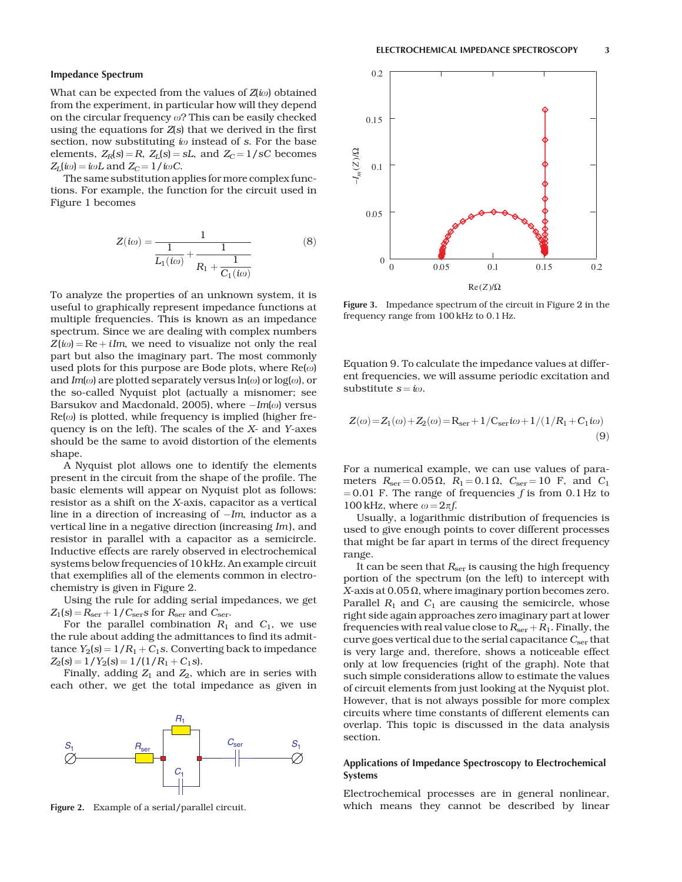#### Impedance Spectrum

What can be expected from the values of  $Z(\omega)$  obtained from the experiment, in particular how will they depend on the circular frequency  $\omega$ ? This can be easily checked using the equations for  $Z(s)$  that we derived in the first section, now substituting  $\omega$  instead of s. For the base elements,  $Z_R(s) = R$ ,  $Z_L(s) = sL$ , and  $Z_C = 1/sC$  becomes  $Z_L(i\omega) = i\omega L$  and  $Z_C = 1/i\omega C$ .

The same substitution applies for more complex functions. For example, the function for the circuit used in Figure 1 becomes

$$
Z(i\omega) = \frac{1}{\frac{1}{L_1(i\omega)} + \frac{1}{R_1 + \frac{1}{C_1(i\omega)}}}
$$
(8)

To analyze the properties of an unknown system, it is useful to graphically represent impedance functions at multiple frequencies. This is known as an impedance spectrum. Since we are dealing with complex numbers  $Z(i\omega) = \text{Re} + i \text{Im}$ , we need to visualize not only the real part but also the imaginary part. The most commonly used plots for this purpose are Bode plots, where  $Re(\omega)$ and Im( $\omega$ ) are plotted separately versus  $\ln(\omega)$  or  $\log(\omega)$ , or the so-called Nyquist plot (actually a misnomer; see Barsukov and Macdonald, 2005), where  $-Im(\omega)$  versus  $Re(\omega)$  is plotted, while frequency is implied (higher frequency is on the left). The scales of the X- and Y-axes should be the same to avoid distortion of the elements shape.

A Nyquist plot allows one to identify the elements present in the circuit from the shape of the profile. The basic elements will appear on Nyquist plot as follows: resistor as a shift on the X-axis, capacitor as a vertical line in a direction of increasing of  $-Im$ , inductor as a vertical line in a negative direction (increasing Im), and resistor in parallel with a capacitor as a semicircle. Inductive effects are rarely observed in electrochemical systems below frequencies of 10 kHz. An example circuit that exemplifies all of the elements common in electrochemistry is given in Figure 2.

Using the rule for adding serial impedances, we get  $Z_1(s) = R_{\text{ser}} + 1/C_{\text{ser}}s$  for  $R_{\text{ser}}$  and  $C_{\text{ser}}$ .

For the parallel combination  $R_1$  and  $C_1$ , we use the rule about adding the admittances to find its admittance  $Y_2(s) = 1/R_1 + C_1s$ . Converting back to impedance  $Z_2(s) = 1/Y_2(s) = 1/(1/R_1 + C_1 s).$ 

Finally, adding  $Z_1$  and  $Z_2$ , which are in series with each other, we get the total impedance as given in



Figure 2. Example of a serial/parallel circuit.



Figure 3. Impedance spectrum of the circuit in Figure 2 in the frequency range from 100 kHz to 0.1 Hz.

Equation 9. To calculate the impedance values at different frequencies, we will assume periodic excitation and substitute  $s = i\omega$ .

$$
Z(\omega) = Z_1(\omega) + Z_2(\omega) = R_{\text{ser}} + 1/C_{\text{ser}}i\omega + 1/(1/R_1 + C_1 i\omega)
$$
\n(9)

For a numerical example, we can use values of parameters  $R_{\text{ser}} = 0.05 \Omega$ ,  $R_1 = 0.1 \Omega$ ,  $C_{\text{ser}} = 10$  F, and  $C_1$  $= 0.01$  F. The range of frequencies f is from 0.1 Hz to 100 kHz, where  $\omega = 2\pi f$ .

Usually, a logarithmic distribution of frequencies is used to give enough points to cover different processes that might be far apart in terms of the direct frequency range.

It can be seen that  $R_{\rm ser}$  is causing the high frequency portion of the spectrum (on the left) to intercept with  $X$ -axis at 0.05  $\Omega$ , where imaginary portion becomes zero. Parallel  $R_1$  and  $C_1$  are causing the semicircle, whose right side again approaches zero imaginary part at lower frequencies with real value close to  $R_{\rm ser}+R_1$ . Finally, the curve goes vertical due to the serial capacitance  $C_{\rm ser}$  that is very large and, therefore, shows a noticeable effect only at low frequencies (right of the graph). Note that such simple considerations allow to estimate the values of circuit elements from just looking at the Nyquist plot. However, that is not always possible for more complex circuits where time constants of different elements can overlap. This topic is discussed in the data analysis section.

## Applications of Impedance Spectroscopy to Electrochemical Systems

Electrochemical processes are in general nonlinear, which means they cannot be described by linear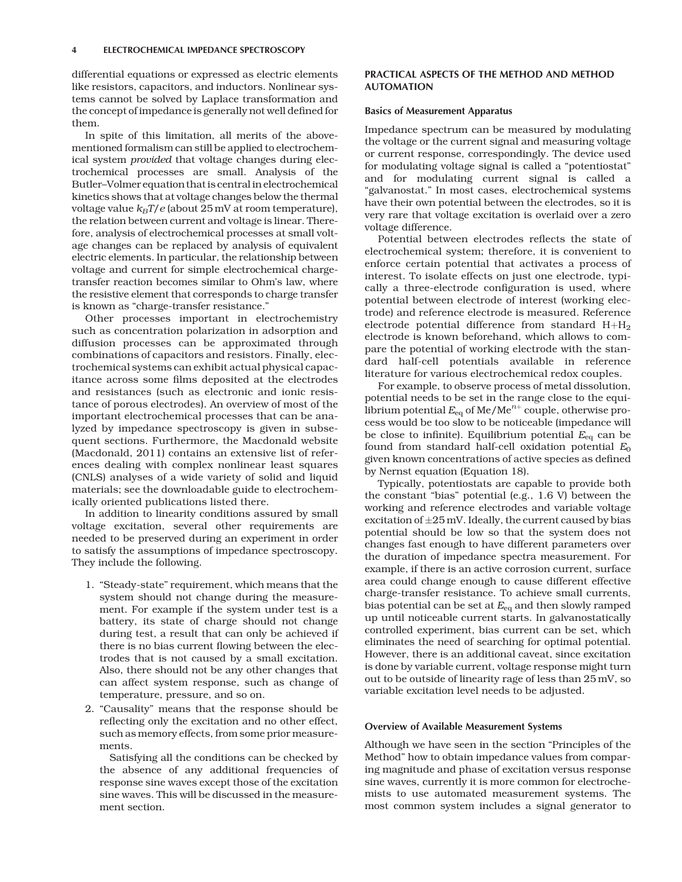differential equations or expressed as electric elements like resistors, capacitors, and inductors. Nonlinear systems cannot be solved by Laplace transformation and the concept of impedance is generally not well defined for them.

In spite of this limitation, all merits of the abovementioned formalism can still be applied to electrochemical system provided that voltage changes during electrochemical processes are small. Analysis of the Butler–Volmer equation that is central in electrochemical kinetics shows that at voltage changes below the thermal voltage value  $k_BT/e$  (about 25 mV at room temperature), the relation between current and voltage is linear. Therefore, analysis of electrochemical processes at small voltage changes can be replaced by analysis of equivalent electric elements. In particular, the relationship between voltage and current for simple electrochemical chargetransfer reaction becomes similar to Ohm's law, where the resistive element that corresponds to charge transfer is known as "charge-transfer resistance."

Other processes important in electrochemistry such as concentration polarization in adsorption and diffusion processes can be approximated through combinations of capacitors and resistors. Finally, electrochemical systems can exhibit actual physical capacitance across some films deposited at the electrodes and resistances (such as electronic and ionic resistance of porous electrodes). An overview of most of the important electrochemical processes that can be analyzed by impedance spectroscopy is given in subsequent sections. Furthermore, the Macdonald website (Macdonald, 2011) contains an extensive list of references dealing with complex nonlinear least squares (CNLS) analyses of a wide variety of solid and liquid materials; see the downloadable guide to electrochemically oriented publications listed there.

In addition to linearity conditions assured by small voltage excitation, several other requirements are needed to be preserved during an experiment in order to satisfy the assumptions of impedance spectroscopy. They include the following.

- 1. "Steady-state" requirement, which means that the system should not change during the measurement. For example if the system under test is a battery, its state of charge should not change during test, a result that can only be achieved if there is no bias current flowing between the electrodes that is not caused by a small excitation. Also, there should not be any other changes that can affect system response, such as change of temperature, pressure, and so on.
- 2. "Causality" means that the response should be reflecting only the excitation and no other effect, such as memory effects, from some prior measurements.

Satisfying all the conditions can be checked by the absence of any additional frequencies of response sine waves except those of the excitation sine waves. This will be discussed in the measurement section.

# PRACTICAL ASPECTS OF THE METHOD AND METHOD AUTOMATION

## Basics of Measurement Apparatus

Impedance spectrum can be measured by modulating the voltage or the current signal and measuring voltage or current response, correspondingly. The device used for modulating voltage signal is called a "potentiostat" and for modulating current signal is called a "galvanostat." In most cases, electrochemical systems have their own potential between the electrodes, so it is very rare that voltage excitation is overlaid over a zero voltage difference.

Potential between electrodes reflects the state of electrochemical system; therefore, it is convenient to enforce certain potential that activates a process of interest. To isolate effects on just one electrode, typically a three-electrode configuration is used, where potential between electrode of interest (working electrode) and reference electrode is measured. Reference electrode potential difference from standard  $H + H<sub>2</sub>$ electrode is known beforehand, which allows to compare the potential of working electrode with the standard half-cell potentials available in reference literature for various electrochemical redox couples.

For example, to observe process of metal dissolution, potential needs to be set in the range close to the equilibrium potential  $E_{eq}$  of Me/Me<sup>n+</sup> couple, otherwise process would be too slow to be noticeable (impedance will be close to infinite). Equilibrium potential  $E_{eq}$  can be found from standard half-cell oxidation potential  $E_0$ given known concentrations of active species as defined by Nernst equation (Equation 18).

Typically, potentiostats are capable to provide both the constant "bias" potential (e.g., 1.6 V) between the working and reference electrodes and variable voltage excitation of  $\pm 25$  mV. Ideally, the current caused by bias potential should be low so that the system does not changes fast enough to have different parameters over the duration of impedance spectra measurement. For example, if there is an active corrosion current, surface area could change enough to cause different effective charge-transfer resistance. To achieve small currents, bias potential can be set at  $E_{eq}$  and then slowly ramped up until noticeable current starts. In galvanostatically controlled experiment, bias current can be set, which eliminates the need of searching for optimal potential. However, there is an additional caveat, since excitation is done by variable current, voltage response might turn out to be outside of linearity rage of less than 25 mV, so variable excitation level needs to be adjusted.

## Overview of Available Measurement Systems

Although we have seen in the section "Principles of the Method" how to obtain impedance values from comparing magnitude and phase of excitation versus response sine waves, currently it is more common for electrochemists to use automated measurement systems. The most common system includes a signal generator to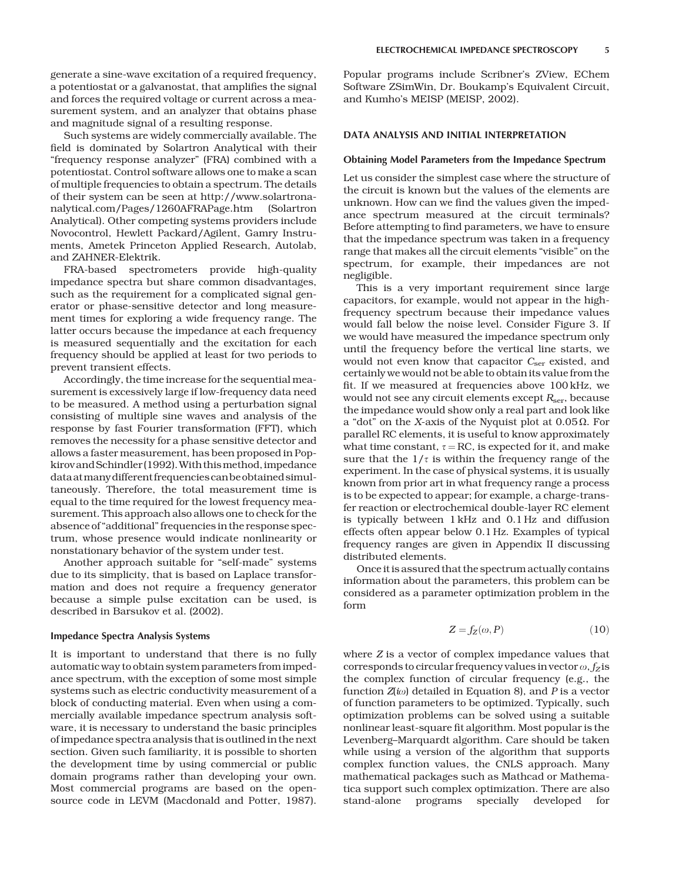generate a sine-wave excitation of a required frequency, a potentiostat or a galvanostat, that amplifies the signal and forces the required voltage or current across a measurement system, and an analyzer that obtains phase and magnitude signal of a resulting response.

Such systems are widely commercially available. The field is dominated by Solartron Analytical with their "frequency response analyzer" (FRA) combined with a potentiostat. Control software allows one to make a scan of multiple frequencies to obtain a spectrum. The details of their system can be seen at http://www.solartronanalytical.com/Pages/1260AFRAPage.htm (Solartron Analytical). Other competing systems providers include Novocontrol, Hewlett Packard/Agilent, Gamry Instruments, Ametek Princeton Applied Research, Autolab, and ZAHNER-Elektrik.

FRA-based spectrometers provide high-quality impedance spectra but share common disadvantages, such as the requirement for a complicated signal generator or phase-sensitive detector and long measurement times for exploring a wide frequency range. The latter occurs because the impedance at each frequency is measured sequentially and the excitation for each frequency should be applied at least for two periods to prevent transient effects.

Accordingly, the time increase for the sequential measurement is excessively large if low-frequency data need to be measured. A method using a perturbation signal consisting of multiple sine waves and analysis of the response by fast Fourier transformation (FFT), which removes the necessity for a phase sensitive detector and allows a faster measurement, has been proposed in Popkirov andSchindler (1992).With thismethod, impedance dataatmanydifferent frequencies canbe obtained simultaneously. Therefore, the total measurement time is equal to the time required for the lowest frequency measurement. This approach also allows one to check for the absence of "additional" frequencies in the response spectrum, whose presence would indicate nonlinearity or nonstationary behavior of the system under test.

Another approach suitable for "self-made" systems due to its simplicity, that is based on Laplace transformation and does not require a frequency generator because a simple pulse excitation can be used, is described in Barsukov et al. (2002).

## Impedance Spectra Analysis Systems

It is important to understand that there is no fully automatic way to obtain system parameters from impedance spectrum, with the exception of some most simple systems such as electric conductivity measurement of a block of conducting material. Even when using a commercially available impedance spectrum analysis software, it is necessary to understand the basic principles of impedance spectra analysis that is outlined in the next section. Given such familiarity, it is possible to shorten the development time by using commercial or public domain programs rather than developing your own. Most commercial programs are based on the opensource code in LEVM (Macdonald and Potter, 1987). Popular programs include Scribner's ZView, EChem Software ZSimWin, Dr. Boukamp's Equivalent Circuit, and Kumho's MEISP (MEISP, 2002).

## DATA ANALYSIS AND INITIAL INTERPRETATION

## Obtaining Model Parameters from the Impedance Spectrum

Let us consider the simplest case where the structure of the circuit is known but the values of the elements are unknown. How can we find the values given the impedance spectrum measured at the circuit terminals? Before attempting to find parameters, we have to ensure that the impedance spectrum was taken in a frequency range that makes all the circuit elements "visible" on the spectrum, for example, their impedances are not negligible.

This is a very important requirement since large capacitors, for example, would not appear in the highfrequency spectrum because their impedance values would fall below the noise level. Consider Figure 3. If we would have measured the impedance spectrum only until the frequency before the vertical line starts, we would not even know that capacitor  $C_{\text{ser}}$  existed, and certainly we would not be able to obtain its value from the fit. If we measured at frequencies above 100 kHz, we would not see any circuit elements except  $R_{\text{ser}}$ , because the impedance would show only a real part and look like a "dot" on the X-axis of the Nyquist plot at  $0.05\Omega$ . For parallel RC elements, it is useful to know approximately what time constant,  $\tau = RC$ , is expected for it, and make sure that the  $1/\tau$  is within the frequency range of the experiment. In the case of physical systems, it is usually known from prior art in what frequency range a process is to be expected to appear; for example, a charge-transfer reaction or electrochemical double-layer RC element is typically between 1 kHz and 0.1 Hz and diffusion effects often appear below 0.1 Hz. Examples of typical frequency ranges are given in Appendix II discussing distributed elements.

Once it is assured that the spectrum actually contains information about the parameters, this problem can be considered as a parameter optimization problem in the form

$$
Z = f_Z(\omega, P) \tag{10}
$$

where Z is a vector of complex impedance values that corresponds to circular frequency values in vector  $\omega$ ,  $f_Z$  is the complex function of circular frequency (e.g., the function  $Z(\omega)$  detailed in Equation 8), and P is a vector of function parameters to be optimized. Typically, such optimization problems can be solved using a suitable nonlinear least-square fit algorithm. Most popular is the Levenberg–Marquardt algorithm. Care should be taken while using a version of the algorithm that supports complex function values, the CNLS approach. Many mathematical packages such as Mathcad or Mathematica support such complex optimization. There are also stand-alone programs specially developed for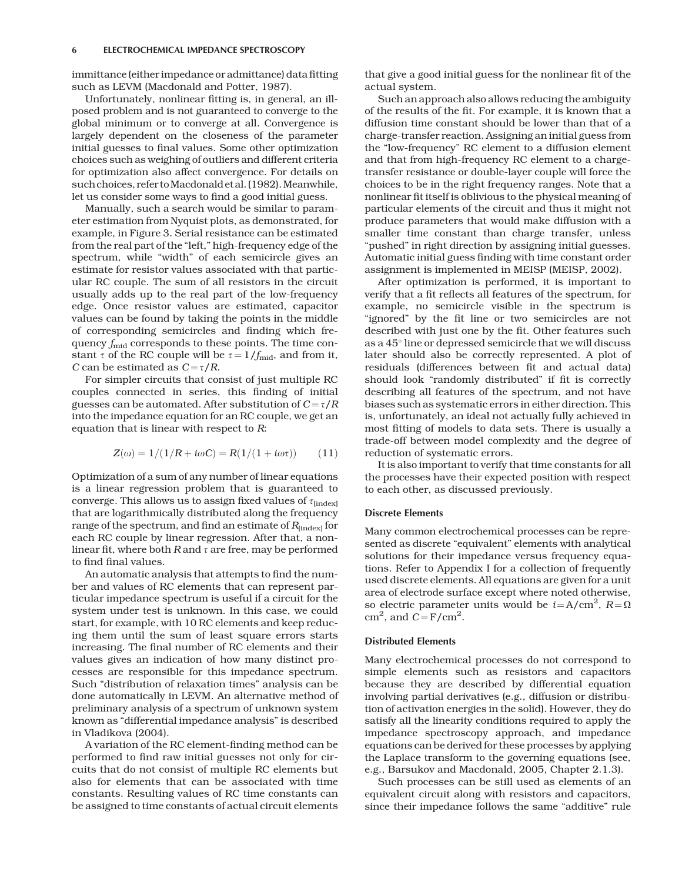immittance (either impedance or admittance) data fitting such as LEVM (Macdonald and Potter, 1987).

Unfortunately, nonlinear fitting is, in general, an illposed problem and is not guaranteed to converge to the global minimum or to converge at all. Convergence is largely dependent on the closeness of the parameter initial guesses to final values. Some other optimization choices such as weighing of outliers and different criteria for optimization also affect convergence. For details on such choices, refer to Macdonald et al. (1982). Meanwhile, let us consider some ways to find a good initial guess.

Manually, such a search would be similar to parameter estimation from Nyquist plots, as demonstrated, for example, in Figure 3. Serial resistance can be estimated from the real part of the "left," high-frequency edge of the spectrum, while "width" of each semicircle gives an estimate for resistor values associated with that particular RC couple. The sum of all resistors in the circuit usually adds up to the real part of the low-frequency edge. Once resistor values are estimated, capacitor values can be found by taking the points in the middle of corresponding semicircles and finding which frequency  $f_{\text{mid}}$  corresponds to these points. The time constant  $\tau$  of the RC couple will be  $\tau = 1/f_{\text{mid}}$ , and from it, C can be estimated as  $C = \tau/R$ .

For simpler circuits that consist of just multiple RC couples connected in series, this finding of initial guesses can be automated. After substitution of  $C = \tau/R$ into the impedance equation for an RC couple, we get an equation that is linear with respect to R:

$$
Z(\omega) = 1/(1/R + i\omega C) = R(1/(1 + i\omega \tau)) \qquad (11)
$$

Optimization of a sum of any number of linear equations is a linear regression problem that is guaranteed to converge. This allows us to assign fixed values of  $\tau_{\rm [index]}$ that are logarithmically distributed along the frequency range of the spectrum, and find an estimate of  $R_{\text{index}}$  for each RC couple by linear regression. After that, a nonlinear fit, where both R and  $\tau$  are free, may be performed to find final values.

An automatic analysis that attempts to find the number and values of RC elements that can represent particular impedance spectrum is useful if a circuit for the system under test is unknown. In this case, we could start, for example, with 10 RC elements and keep reducing them until the sum of least square errors starts increasing. The final number of RC elements and their values gives an indication of how many distinct processes are responsible for this impedance spectrum. Such "distribution of relaxation times" analysis can be done automatically in LEVM. An alternative method of preliminary analysis of a spectrum of unknown system known as "differential impedance analysis" is described in Vladikova (2004).

A variation of the RC element-finding method can be performed to find raw initial guesses not only for circuits that do not consist of multiple RC elements but also for elements that can be associated with time constants. Resulting values of RC time constants can be assigned to time constants of actual circuit elements

that give a good initial guess for the nonlinear fit of the actual system.

Such an approach also allows reducing the ambiguity of the results of the fit. For example, it is known that a diffusion time constant should be lower than that of a charge-transfer reaction. Assigning an initial guess from the "low-frequency" RC element to a diffusion element and that from high-frequency RC element to a chargetransfer resistance or double-layer couple will force the choices to be in the right frequency ranges. Note that a nonlinear fit itself is oblivious to the physical meaning of particular elements of the circuit and thus it might not produce parameters that would make diffusion with a smaller time constant than charge transfer, unless "pushed" in right direction by assigning initial guesses. Automatic initial guess finding with time constant order assignment is implemented in MEISP (MEISP, 2002).

After optimization is performed, it is important to verify that a fit reflects all features of the spectrum, for example, no semicircle visible in the spectrum is "ignored" by the fit line or two semicircles are not described with just one by the fit. Other features such as a 45° line or depressed semicircle that we will discuss later should also be correctly represented. A plot of residuals (differences between fit and actual data) should look "randomly distributed" if fit is correctly describing all features of the spectrum, and not have biases such as systematic errors in either direction. This is, unfortunately, an ideal not actually fully achieved in most fitting of models to data sets. There is usually a trade-off between model complexity and the degree of reduction of systematic errors.

It is also important to verify that time constants for all the processes have their expected position with respect to each other, as discussed previously.

#### Discrete Elements

Many common electrochemical processes can be represented as discrete "equivalent" elements with analytical solutions for their impedance versus frequency equations. Refer to Appendix I for a collection of frequently used discrete elements. All equations are given for a unit area of electrode surface except where noted otherwise, so electric parameter units would be  $i = A/cm^2$ ,  $R = \Omega$ <br>cm<sup>2</sup> and  $C = E/cm^2$ cm<sup>2</sup>, and  $C = F/cm^2$ .

## Distributed Elements

Many electrochemical processes do not correspond to simple elements such as resistors and capacitors because they are described by differential equation involving partial derivatives (e.g., diffusion or distribution of activation energies in the solid). However, they do satisfy all the linearity conditions required to apply the impedance spectroscopy approach, and impedance equations can be derived for these processes by applying the Laplace transform to the governing equations (see, e.g., Barsukov and Macdonald, 2005, Chapter 2.1.3).

Such processes can be still used as elements of an equivalent circuit along with resistors and capacitors, since their impedance follows the same "additive" rule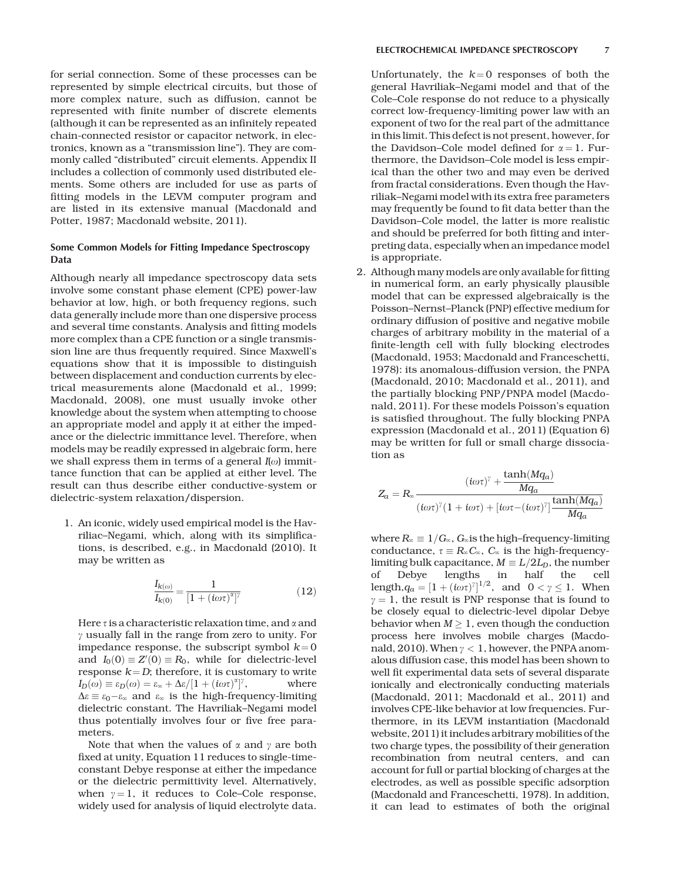for serial connection. Some of these processes can be represented by simple electrical circuits, but those of more complex nature, such as diffusion, cannot be represented with finite number of discrete elements (although it can be represented as an infinitely repeated chain-connected resistor or capacitor network, in electronics, known as a "transmission line"). They are commonly called "distributed" circuit elements. Appendix II includes a collection of commonly used distributed elements. Some others are included for use as parts of fitting models in the LEVM computer program and are listed in its extensive manual (Macdonald and Potter, 1987; Macdonald website, 2011).

## Some Common Models for Fitting Impedance Spectroscopy Data

Although nearly all impedance spectroscopy data sets involve some constant phase element (CPE) power-law behavior at low, high, or both frequency regions, such data generally include more than one dispersive process and several time constants. Analysis and fitting models more complex than a CPE function or a single transmission line are thus frequently required. Since Maxwell's equations show that it is impossible to distinguish between displacement and conduction currents by electrical measurements alone (Macdonald et al., 1999; Macdonald, 2008), one must usually invoke other knowledge about the system when attempting to choose an appropriate model and apply it at either the impedance or the dielectric immittance level. Therefore, when models may be readily expressed in algebraic form, here we shall express them in terms of a general  $I(\omega)$  immittance function that can be applied at either level. The result can thus describe either conductive-system or dielectric-system relaxation/dispersion.

1. An iconic, widely used empirical model is the Havriliac–Negami, which, along with its simplifications, is described, e.g., in Macdonald (2010). It may be written as

$$
\frac{I_{k(\omega)}}{I_{k(0)}} = \frac{1}{[1 + (i\omega\tau)^{\alpha}]^{\gamma}}
$$
(12)

Here  $\tau$  is a characteristic relaxation time, and  $\alpha$  and  $\gamma$  usually fall in the range from zero to unity. For impedance response, the subscript symbol  $k = 0$ and  $I_0(0) \equiv Z'(0) \equiv R_0$ , while for dielectric-level<br>response  $k - D$ ; therefore it is customary to write response  $k = D$ ; therefore, it is customary to write  $I_D(\omega) \equiv \varepsilon_D(\omega) = \varepsilon_{\infty} + \Delta \varepsilon / [1 + (i\omega\tau)^{\alpha}]^{\gamma}$  $\Delta \varepsilon = \varepsilon_0 - \varepsilon_\infty$  and  $\varepsilon_\infty$  is the high-frequency-limiting<br>dielectric constant. The Havriliak-Negami model , where dielectric constant. The Havriliak–Negami model thus potentially involves four or five free parameters.

Note that when the values of  $\alpha$  and  $\gamma$  are both fixed at unity, Equation 11 reduces to single-timeconstant Debye response at either the impedance or the dielectric permittivity level. Alternatively, when  $y = 1$ , it reduces to Cole–Cole response, widely used for analysis of liquid electrolyte data.

Unfortunately, the  $k = 0$  responses of both the general Havriliak–Negami model and that of the Cole–Cole response do not reduce to a physically correct low-frequency-limiting power law with an exponent of two for the real part of the admittance in this limit. This defect is not present, however, for the Davidson–Cole model defined for  $\alpha$  = 1. Fur-<br>thermore, the Davidson–Cole model is less empirical than the other two and may even be derived from fractal considerations. Even though the Havriliak–Negami model with its extra free parameters may frequently be found to fit data better than the Davidson–Cole model, the latter is more realistic and should be preferred for both fitting and interpreting data, especially when an impedance model is appropriate.

2. Although many models are only available for fitting in numerical form, an early physically plausible model that can be expressed algebraically is the Poisson–Nernst–Planck (PNP) effective medium for ordinary diffusion of positive and negative mobile charges of arbitrary mobility in the material of a finite-length cell with fully blocking electrodes (Macdonald, 1953; Macdonald and Franceschetti, 1978): its anomalous-diffusion version, the PNPA (Macdonald, 2010; Macdonald et al., 2011), and the partially blocking PNP/PNPA model (Macdonald, 2011). For these models Poisson's equation is satisfied throughout. The fully blocking PNPA expression (Macdonald et al., 2011) (Equation 6) may be written for full or small charge dissociation as

$$
Z_a = R_\infty \frac{(i\omega\tau)^\gamma + \dfrac{\tanh(Mq_a)}{Mq_a}}{(i\omega\tau)^\gamma(1+i\omega\tau) + [i\omega\tau-(i\omega\tau)^\gamma] \dfrac{\tanh(Mq_a)}{Mq_a}}
$$

where  $R_{\infty} \equiv 1/G_{\infty}$ ,  $G_{\infty}$  is the high–frequency-limiting<br>conductance  $\tau = R$ ,  $C$  ,  $C$  is the high-frequencyconductance,  $\tau \equiv R_{\infty} C_{\infty}$ ,  $C_{\infty}$  is the high-frequency-<br>limiting bulk canacitance,  $M = I/QL_{\infty}$ , the number limiting bulk capacitance,  $M = L/2L_D$ , the number<br>of Debye lengths in half the cell of Debye lengths in half the cell length, $q_a = [1 + (i\omega\tau)^2]^{1/2}$ , and  $0 < \gamma \le 1$ . When<br> $\gamma = 1$ , the result is PNP response that is found to  $\gamma = 1$ , the result is PNP response that is found to the closely equal to dielectric-level dipolar. Debyes be closely equal to dielectric-level dipolar Debye behavior when  $M \geq 1$ , even though the conduction process here involves mobile charges (Macdonald, 2010). When  $\gamma < 1$ , however, the PNPA anomalous diffusion case, this model has been shown to well fit experimental data sets of several disparate ionically and electronically conducting materials (Macdonald, 2011; Macdonald et al., 2011) and involves CPE-like behavior at low frequencies. Furthermore, in its LEVM instantiation (Macdonald website, 2011) it includes arbitrary mobilities of the two charge types, the possibility of their generation recombination from neutral centers, and can account for full or partial blocking of charges at the electrodes, as well as possible specific adsorption (Macdonald and Franceschetti, 1978). In addition, it can lead to estimates of both the original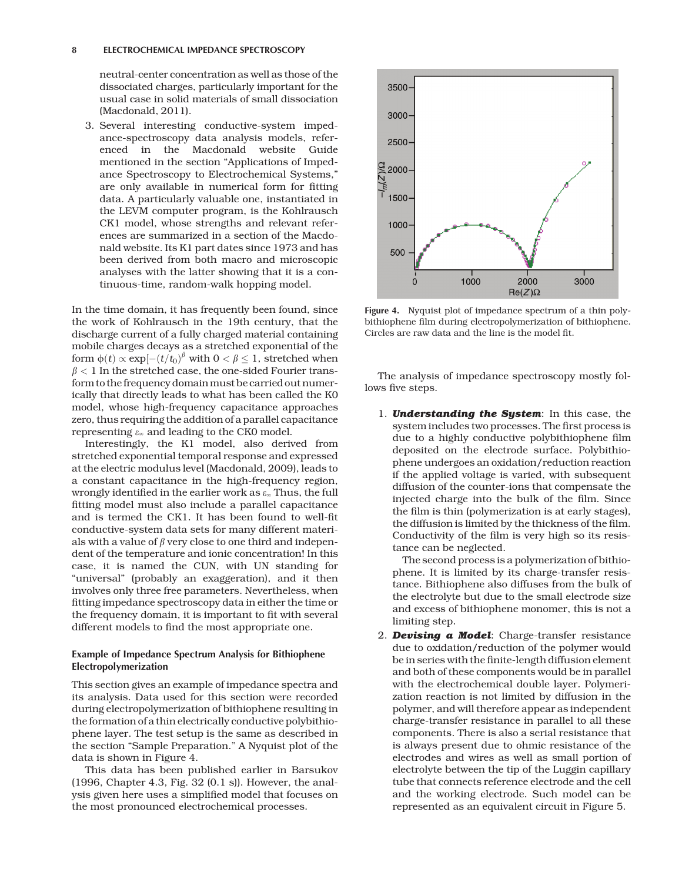neutral-center concentration as well as those of the dissociated charges, particularly important for the usual case in solid materials of small dissociation (Macdonald, 2011).

3. Several interesting conductive-system impedance-spectroscopy data analysis models, referenced in the Macdonald website Guide mentioned in the section "Applications of Impedance Spectroscopy to Electrochemical Systems," are only available in numerical form for fitting data. A particularly valuable one, instantiated in the LEVM computer program, is the Kohlrausch CK1 model, whose strengths and relevant references are summarized in a section of the Macdonald website. Its K1 part dates since 1973 and has been derived from both macro and microscopic analyses with the latter showing that it is a continuous-time, random-walk hopping model.

In the time domain, it has frequently been found, since the work of Kohlrausch in the 19th century, that the discharge current of a fully charged material containing mobile charges decays as a stretched exponential of the form  $\phi(t) \propto \exp[-(t/t_0)^p]$  with  $0 < \beta \leq 1$ , stretched when  $\beta < 1$  In the stretched case, the one-sided Fourier trans- $\beta < 1$  In the stretched case, the one-sided Fourier transform to the frequency domain must be carried out numerically that directly leads to what has been called the K0 model, whose high-frequency capacitance approaches zero, thus requiring the addition of a parallel capacitance representing  $\varepsilon_{\infty}$  and leading to the CK0 model.

Interestingly, the K1 model, also derived from stretched exponential temporal response and expressed at the electric modulus level (Macdonald, 2009), leads to a constant capacitance in the high-frequency region, wrongly identified in the earlier work as  $\varepsilon_{\infty}$  Thus, the full fitting model must also include a parallel capacitance and is termed the CK1. It has been found to well-fit conductive-system data sets for many different materials with a value of  $\beta$  very close to one third and independent of the temperature and ionic concentration! In this case, it is named the CUN, with UN standing for "universal" (probably an exaggeration), and it then involves only three free parameters. Nevertheless, when fitting impedance spectroscopy data in either the time or the frequency domain, it is important to fit with several different models to find the most appropriate one.

## Example of Impedance Spectrum Analysis for Bithiophene Electropolymerization

This section gives an example of impedance spectra and its analysis. Data used for this section were recorded during electropolymerization of bithiophene resulting in the formation of a thin electrically conductive polybithiophene layer. The test setup is the same as described in the section "Sample Preparation." A Nyquist plot of the data is shown in Figure 4.

This data has been published earlier in Barsukov (1996, Chapter 4.3, Fig. 32 (0.1 s)). However, the analysis given here uses a simplified model that focuses on the most pronounced electrochemical processes.



Figure 4. Nyquist plot of impedance spectrum of a thin polybithiophene film during electropolymerization of bithiophene. Circles are raw data and the line is the model fit.

The analysis of impedance spectroscopy mostly follows five steps.

1. **Understanding the System:** In this case, the system includes two processes. The first process is due to a highly conductive polybithiophene film deposited on the electrode surface. Polybithiophene undergoes an oxidation/reduction reaction if the applied voltage is varied, with subsequent diffusion of the counter-ions that compensate the injected charge into the bulk of the film. Since the film is thin (polymerization is at early stages), the diffusion is limited by the thickness of the film. Conductivity of the film is very high so its resistance can be neglected.

The second process is a polymerization of bithiophene. It is limited by its charge-transfer resistance. Bithiophene also diffuses from the bulk of the electrolyte but due to the small electrode size and excess of bithiophene monomer, this is not a limiting step.

2. **Devising a Model**: Charge-transfer resistance due to oxidation/reduction of the polymer would be in series with the finite-length diffusion element and both of these components would be in parallel with the electrochemical double layer. Polymerization reaction is not limited by diffusion in the polymer, and will therefore appear as independent charge-transfer resistance in parallel to all these components. There is also a serial resistance that is always present due to ohmic resistance of the electrodes and wires as well as small portion of electrolyte between the tip of the Luggin capillary tube that connects reference electrode and the cell and the working electrode. Such model can be represented as an equivalent circuit in Figure 5.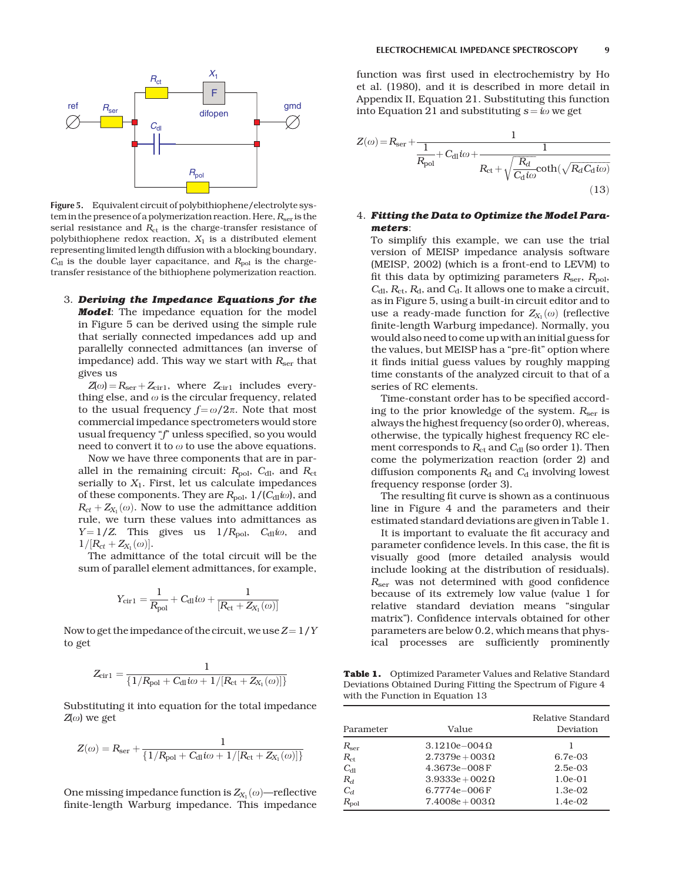

Figure 5. Equivalent circuit of polybithiophene/electrolyte system in the presence of a polymerization reaction. Here,  $R_{\text{ser}}$  is the serial resistance and  $R_{ct}$  is the charge-transfer resistance of polybithiophene redox reaction,  $X_1$  is a distributed element representing limited length diffusion with a blocking boundary,  $C_{\text{dl}}$  is the double layer capacitance, and  $R_{\text{pol}}$  is the chargetransfer resistance of the bithiophene polymerization reaction.

# 3. Deriving the Impedance Equations for the

**Model:** The impedance equation for the model in Figure 5 can be derived using the simple rule that serially connected impedances add up and parallelly connected admittances (an inverse of impedance) add. This way we start with  $R_{\rm ser}$  that gives us

 $Z(\omega) = R_{\text{ser}} + Z_{\text{cir1}}$ , where  $Z_{\text{cir1}}$  includes everything else, and  $\omega$  is the circular frequency, related to the usual frequency  $f = \omega/2\pi$ . Note that most commercial impedance spectrometers would store usual frequency "f" unless specified, so you would need to convert it to  $\omega$  to use the above equations.

Now we have three components that are in parallel in the remaining circuit:  $R_{pol}$ ,  $C_{dl}$ , and  $R_{ct}$ serially to  $X_1$ . First, let us calculate impedances of these components. They are  $R_{pol}$ ,  $1/(C_{dl}\omega)$ , and  $R_{ct} + Z_{X_1}(\omega)$ . Now to use the admittance addition rule, we turn these values into admittances as  $Y = 1/Z$ . This gives us  $1/R_{pol}$ ,  $C_{dl}i\omega$ , and  $1/[R_{ct} + Z_{X_1}(\omega)].$ 

The admittance of the total circuit will be the sum of parallel element admittances, for example,

$$
Y_{\text{cir1}} = \frac{1}{R_{\text{pol}}} + C_{\text{dl}} i\omega + \frac{1}{[R_{\text{ct}} + Z_{X_1}(\omega)]}
$$

Now to get the impedance of the circuit, we use  $Z = 1/Y$ to get

$$
Z_{cir1} = \frac{1}{\{1/R_{pol} + C_{dl} i\omega + 1/[R_{ct} + Z_{X_1}(\omega)]\}}
$$

Substituting it into equation for the total impedance  $Z(\omega)$  we get

$$
Z(\omega) = R_{\text{ser}} + \frac{1}{\{1/R_{\text{pol}} + C_{\text{dl}} i\omega + 1/[R_{\text{ct}} + Z_{X_1}(\omega)]\}}
$$

One missing impedance function is  $Z_{X_1}(\omega)$ —reflective finite-length Warburg impedance. This impedance function was first used in electrochemistry by Ho et al. (1980), and it is described in more detail in Appendix II, Equation 21. Substituting this function into Equation 21 and substituting  $s = i\omega$  we get

$$
Z(\omega) = R_{\text{ser}} + \frac{1}{\frac{1}{R_{\text{pol}}} + C_{\text{dl}} i\omega + \frac{1}{R_{\text{ct}} + \sqrt{\frac{R_d}{C_{\text{d}}} i\omega}} \text{coth}(\sqrt{R_d C_{\text{d}} i\omega})}
$$
(13)

## 4. Fitting the Data to Optimize the Model Parameters:

To simplify this example, we can use the trial version of MEISP impedance analysis software (MEISP, 2002) (which is a front-end to LEVM) to fit this data by optimizing parameters  $R_{\rm{ser}}$ ,  $R_{\rm{pol}}$ ,  $C_{\text{dl}}$ ,  $R_{\text{ct}}$ ,  $R_{\text{d}}$ , and  $C_{\text{d}}$ . It allows one to make a circuit, as in Figure 5, using a built-in circuit editor and to use a ready-made function for  $Z_{X_1}(\omega)$  (reflective finite-length Warburg impedance). Normally, you would also need to come up with an initial guess for the values, but MEISP has a "pre-fit" option where it finds initial guess values by roughly mapping time constants of the analyzed circuit to that of a series of RC elements.

Time-constant order has to be specified according to the prior knowledge of the system.  $R_{\rm ser}$  is always the highest frequency (so order 0), whereas, otherwise, the typically highest frequency RC element corresponds to  $R_{ct}$  and  $C_{dl}$  (so order 1). Then come the polymerization reaction (order 2) and diffusion components  $R_d$  and  $C_d$  involving lowest frequency response (order 3).

The resulting fit curve is shown as a continuous line in Figure 4 and the parameters and their estimated standard deviations are given in Table 1.

It is important to evaluate the fit accuracy and parameter confidence levels. In this case, the fit is visually good (more detailed analysis would include looking at the distribution of residuals).  $R<sub>ser</sub>$  was not determined with good confidence because of its extremely low value (value 1 for relative standard deviation means "singular matrix"). Confidence intervals obtained for other parameters are below 0.2, which means that physical processes are sufficiently prominently

Table 1. Optimized Parameter Values and Relative Standard Deviations Obtained During Fitting the Spectrum of Figure 4 with the Function in Equation 13

| Parameter      | Value                  | Relative Standard<br>Deviation |
|----------------|------------------------|--------------------------------|
| $R_{\rm{ser}}$ | $3.1210e - 004 \Omega$ | ı                              |
| $R_{\rm ct}$   | $2.7379e + 003 \Omega$ | 6.7e-03                        |
| $C_{d1}$       | $4.3673e - 008F$       | $2.5e-0.3$                     |
| $R_d$          | $3.9333e + 002 \Omega$ | $1.0e-01$                      |
| $C_d$          | $6.7774e - 006F$       | $1.3e-02$                      |
| $R_{\rm pol}$  | $7.4008e + 003 \Omega$ | $1.4e-02$                      |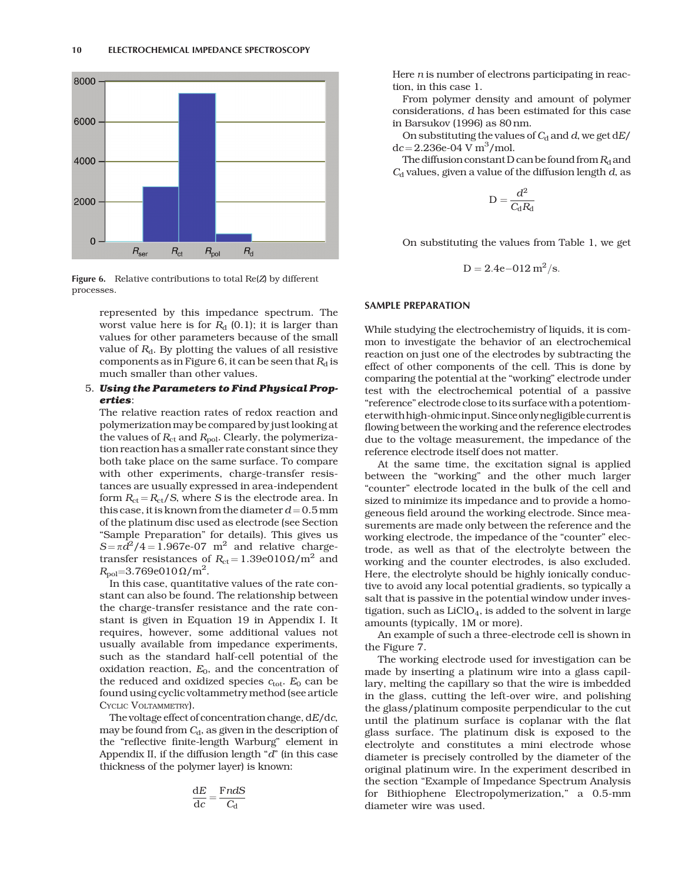

Figure 6. Relative contributions to total Re(Z) by different processes.

represented by this impedance spectrum. The worst value here is for  $R<sub>d</sub>$  (0.1); it is larger than values for other parameters because of the small value of  $R_d$ . By plotting the values of all resistive components as in Figure 6, it can be seen that  $R_d$  is much smaller than other values.

## 5. Using the Parameters to Find Physical Properties:

The relative reaction rates of redox reaction and polymerization may be compared by just looking at the values of  $R_{ct}$  and  $R_{pol}$ . Clearly, the polymerization reaction has a smaller rate constant since they both take place on the same surface. To compare with other experiments, charge-transfer resistances are usually expressed in area-independent form  $R_{\text{ct}} = R_{\text{ct}} / S$ , where S is the electrode area. In this case, it is known from the diameter  $d = 0.5$  mm of the platinum disc used as electrode (see Section "Sample Preparation" for details). This gives us  $S = \pi \tilde{d}^2/4 = 1.967e^{-0.07}$  m<sup>2</sup> and relative chargetransfer resistances of  $R_{ct} = 1.39e010 \Omega/m^2$  and  $R_{\rm pol} = 3.769e010 \Omega/m^2.$ <br>In this case, quantities

In this case, quantitative values of the rate constant can also be found. The relationship between the charge-transfer resistance and the rate constant is given in Equation 19 in Appendix I. It requires, however, some additional values not usually available from impedance experiments, such as the standard half-cell potential of the oxidation reaction,  $E_0$ , and the concentration of the reduced and oxidized species  $c_{\text{tot}}$ .  $E_0$  can be found using cyclic voltammetry method (see article CYCLIC VOLTAMMETRY).

The voltage effect of concentration change, dE/dc, may be found from  $C_d$ , as given in the description of the "reflective finite-length Warburg" element in Appendix II, if the diffusion length " $d$ " (in this case thickness of the polymer layer) is known:

$$
\frac{\mathrm{d}E}{\mathrm{d}c} = \frac{\mathrm{F}ndS}{C_{\mathrm{d}}}
$$

Here  $n$  is number of electrons participating in reaction, in this case 1.

From polymer density and amount of polymer considerations, d has been estimated for this case in Barsukov (1996) as 80 nm.

On substituting the values of  $C_d$  and d, we get dE/  $dc = 2.236e-04 \text{ V m}^3/\text{mol}$ .<br>The diffusion constant D

The diffusion constant D can be found from  $R_d$  and  $C<sub>d</sub>$  values, given a value of the diffusion length  $d$ , as

$$
D = \frac{d^2}{C_d R_d}
$$

On substituting the values from Table 1, we get

$$
D = 2.4e - 012 \, m^2/s.
$$

## SAMPLE PREPARATION

While studying the electrochemistry of liquids, it is common to investigate the behavior of an electrochemical reaction on just one of the electrodes by subtracting the effect of other components of the cell. This is done by comparing the potential at the "working" electrode under test with the electrochemical potential of a passive "reference" electrode close to its surface with a potentiometerwithhigh-ohmic input.Sinceonlynegligiblecurrent is flowing between the working and the reference electrodes due to the voltage measurement, the impedance of the reference electrode itself does not matter.

At the same time, the excitation signal is applied between the "working" and the other much larger "counter" electrode located in the bulk of the cell and sized to minimize its impedance and to provide a homogeneous field around the working electrode. Since measurements are made only between the reference and the working electrode, the impedance of the "counter" electrode, as well as that of the electrolyte between the working and the counter electrodes, is also excluded. Here, the electrolyte should be highly ionically conductive to avoid any local potential gradients, so typically a salt that is passive in the potential window under investigation, such as  $LiClO<sub>4</sub>$ , is added to the solvent in large amounts (typically, 1M or more).

An example of such a three-electrode cell is shown in the Figure 7.

The working electrode used for investigation can be made by inserting a platinum wire into a glass capillary, melting the capillary so that the wire is imbedded in the glass, cutting the left-over wire, and polishing the glass/platinum composite perpendicular to the cut until the platinum surface is coplanar with the flat glass surface. The platinum disk is exposed to the electrolyte and constitutes a mini electrode whose diameter is precisely controlled by the diameter of the original platinum wire. In the experiment described in the section "Example of Impedance Spectrum Analysis for Bithiophene Electropolymerization," a 0.5-mm diameter wire was used.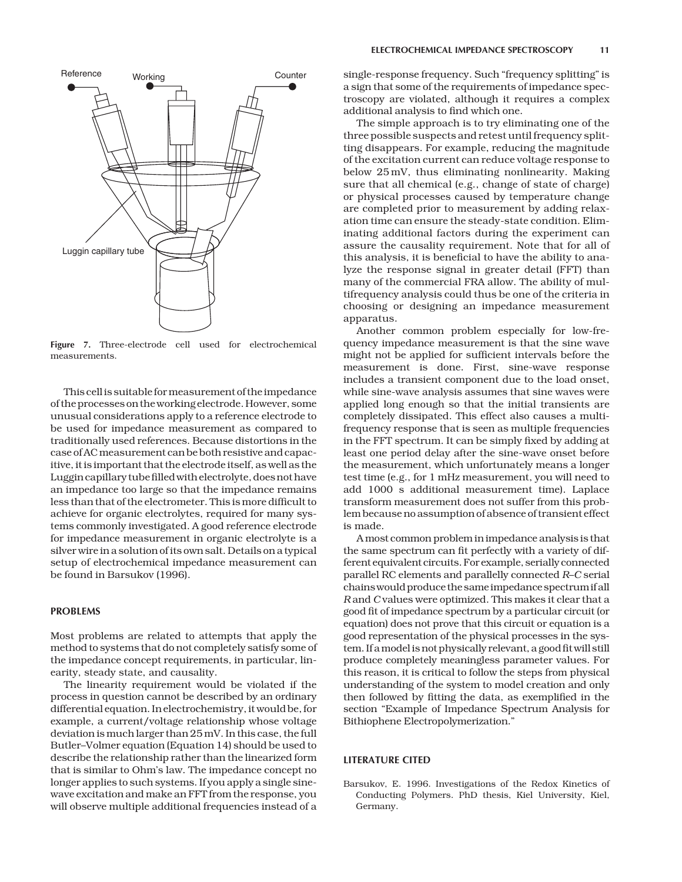

Figure 7. Three-electrode cell used for electrochemical measurements.

This cell is suitable formeasurement of the impedance of the processes on the working electrode. However, some unusual considerations apply to a reference electrode to be used for impedance measurement as compared to traditionally used references. Because distortions in the case of ACmeasurement can be both resistive and capacitive, it is important that the electrode itself, as well as the Luggin capillary tube filledwith electrolyte, does not have an impedance too large so that the impedance remains less than that of the electrometer. This is more difficult to achieve for organic electrolytes, required for many systems commonly investigated. A good reference electrode for impedance measurement in organic electrolyte is a silver wire in a solution of its own salt. Details on a typical setup of electrochemical impedance measurement can be found in Barsukov (1996).

## PROBLEMS

Most problems are related to attempts that apply the method to systems that do not completely satisfy some of the impedance concept requirements, in particular, linearity, steady state, and causality.

The linearity requirement would be violated if the process in question cannot be described by an ordinary differential equation. In electrochemistry, it would be, for example, a current/voltage relationship whose voltage deviation is much larger than 25 mV. In this case, the full Butler–Volmer equation (Equation 14) should be used to describe the relationship rather than the linearized form that is similar to Ohm's law. The impedance concept no longer applies to such systems. If you apply a single sinewave excitation and make an FFT from the response, you will observe multiple additional frequencies instead of a single-response frequency. Such "frequency splitting" is a sign that some of the requirements of impedance spectroscopy are violated, although it requires a complex additional analysis to find which one.

The simple approach is to try eliminating one of the three possible suspects and retest until frequency splitting disappears. For example, reducing the magnitude of the excitation current can reduce voltage response to below 25 mV, thus eliminating nonlinearity. Making sure that all chemical (e.g., change of state of charge) or physical processes caused by temperature change are completed prior to measurement by adding relaxation time can ensure the steady-state condition. Eliminating additional factors during the experiment can assure the causality requirement. Note that for all of this analysis, it is beneficial to have the ability to analyze the response signal in greater detail (FFT) than many of the commercial FRA allow. The ability of multifrequency analysis could thus be one of the criteria in choosing or designing an impedance measurement apparatus.

Another common problem especially for low-frequency impedance measurement is that the sine wave might not be applied for sufficient intervals before the measurement is done. First, sine-wave response includes a transient component due to the load onset, while sine-wave analysis assumes that sine waves were applied long enough so that the initial transients are completely dissipated. This effect also causes a multifrequency response that is seen as multiple frequencies in the FFT spectrum. It can be simply fixed by adding at least one period delay after the sine-wave onset before the measurement, which unfortunately means a longer test time (e.g., for 1 mHz measurement, you will need to add 1000 s additional measurement time). Laplace transform measurement does not suffer from this problem because no assumption of absence of transient effect is made.

A most common problem in impedance analysis is that the same spectrum can fit perfectly with a variety of different equivalent circuits.For example, serially connected parallel RC elements and parallelly connected R–C serial chains would produce the same impedance spectrum if all R and C values were optimized. This makes it clear that a good fit of impedance spectrum by a particular circuit (or equation) does not prove that this circuit or equation is a good representation of the physical processes in the system. If amodel is not physically relevant, a good fit will still produce completely meaningless parameter values. For this reason, it is critical to follow the steps from physical understanding of the system to model creation and only then followed by fitting the data, as exemplified in the section "Example of Impedance Spectrum Analysis for Bithiophene Electropolymerization."

## LITERATURE CITED

Barsukov, E. 1996. Investigations of the Redox Kinetics of Conducting Polymers. PhD thesis, Kiel University, Kiel, Germany.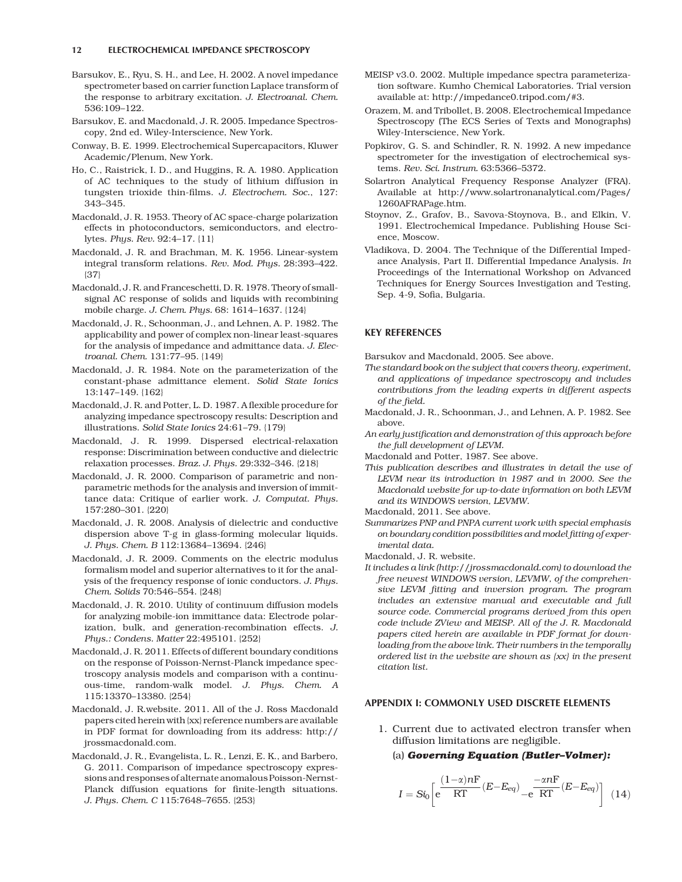#### 12 ELECTROCHEMICAL IMPEDANCE SPECTROSCOPY

- Barsukov, E., Ryu, S. H., and Lee, H. 2002. A novel impedance spectrometer based on carrier function Laplace transform of the response to arbitrary excitation. J. Electroanal. Chem. 536:109–122.
- Barsukov, E. and Macdonald, J. R. 2005. Impedance Spectroscopy, 2nd ed. Wiley-Interscience, New York.
- Conway, B. E. 1999. Electrochemical Supercapacitors, Kluwer Academic/Plenum, New York.
- Ho, C., Raistrick, I. D., and Huggins, R. A. 1980. Application of AC techniques to the study of lithium diffusion in tungsten trioxide thin-films. J. Electrochem. Soc., 127: 343–345.
- Macdonald, J. R. 1953. Theory of AC space-charge polarization effects in photoconductors, semiconductors, and electrolytes. Phys. Rev. 92:4–17. {11}
- Macdonald, J. R. and Brachman, M. K. 1956. Linear-system integral transform relations. Rev. Mod. Phys. 28:393–422. {37}
- Macdonald, J. R. and Franceschetti, D. R. 1978. Theory of smallsignal AC response of solids and liquids with recombining mobile charge. J. Chem. Phys. 68: 1614–1637. {124}
- Macdonald, J. R., Schoonman, J., and Lehnen, A. P. 1982. The applicability and power of complex non-linear least-squares for the analysis of impedance and admittance data. J. Electroanal. Chem. 131:77–95. {149}
- Macdonald, J. R. 1984. Note on the parameterization of the constant-phase admittance element. Solid State Ionics 13:147–149. {162}
- Macdonald, J. R. and Potter, L. D. 1987. A flexible procedure for analyzing impedance spectroscopy results: Description and illustrations. Solid State Ionics 24:61–79. {179}
- Macdonald, J. R. 1999. Dispersed electrical-relaxation response: Discrimination between conductive and dielectric relaxation processes. Braz. J. Phys. 29:332–346. {218}
- Macdonald, J. R. 2000. Comparison of parametric and nonparametric methods for the analysis and inversion of immittance data: Critique of earlier work. J. Computat. Phys. 157:280–301. {220}
- Macdonald, J. R. 2008. Analysis of dielectric and conductive dispersion above T-g in glass-forming molecular liquids. J. Phys. Chem. B 112:13684–13694. {246}
- Macdonald, J. R. 2009. Comments on the electric modulus formalism model and superior alternatives to it for the analysis of the frequency response of ionic conductors. J. Phys. Chem. Solids 70:546–554. {248}
- Macdonald, J. R. 2010. Utility of continuum diffusion models for analyzing mobile-ion immittance data: Electrode polarization, bulk, and generation-recombination effects. J. Phys.: Condens. Matter 22:495101. {252}
- Macdonald, J. R. 2011. Effects of different boundary conditions on the response of Poisson-Nernst-Planck impedance spectroscopy analysis models and comparison with a continuous-time, random-walk model. J. Phys. Chem. A 115:13370–13380. {254}
- Macdonald, J. R.website. 2011. All of the J. Ross Macdonald papers cited herein with {xx} reference numbers are available in PDF format for downloading from its address: http:// jrossmacdonald.com.
- Macdonald, J. R., Evangelista, L. R., Lenzi, E. K., and Barbero, G. 2011. Comparison of impedance spectroscopy expressions and responses of alternate anomalous Poisson-Nernst-Planck diffusion equations for finite-length situations. J. Phys. Chem. C 115:7648–7655. {253}
- MEISP v3.0. 2002. Multiple impedance spectra parameterization software. Kumho Chemical Laboratories. Trial version available at: http://impedance0.tripod.com/#3.
- Orazem, M. and Tribollet, B. 2008. Electrochemical Impedance Spectroscopy (The ECS Series of Texts and Monographs) Wiley-Interscience, New York.
- Popkirov, G. S. and Schindler, R. N. 1992. A new impedance spectrometer for the investigation of electrochemical systems. Rev. Sci. Instrum. 63:5366–5372.
- Solartron Analytical Frequency Response Analyzer (FRA). Available at http://www.solartronanalytical.com/Pages/ 1260AFRAPage.htm.
- Stoynov, Z., Grafov, B., Savova-Stoynova, B., and Elkin, V. 1991. Electrochemical Impedance. Publishing House Science, Moscow.
- Vladikova, D. 2004. The Technique of the Differential Impedance Analysis, Part II. Differential Impedance Analysis. In Proceedings of the International Workshop on Advanced Techniques for Energy Sources Investigation and Testing, Sep. 4-9, Sofia, Bulgaria.

## KEY REFERENCES

Barsukov and Macdonald, 2005. See above.

- The standard book on the subject that covers theory, experiment, and applications of impedance spectroscopy and includes contributions from the leading experts in different aspects of the field.
- Macdonald, J. R., Schoonman, J., and Lehnen, A. P. 1982. See above.
- An early justification and demonstration of this approach before the full development of LEVM.
- Macdonald and Potter, 1987. See above.
- This publication describes and illustrates in detail the use of LEVM near its introduction in 1987 and in 2000. See the Macdonald website for up-to-date information on both LEVM and its WINDOWS version, LEVMW.
- Macdonald, 2011. See above.
- Summarizes PNP and PNPA current work with special emphasis on boundary condition possibilities and model fitting of experimental data.
- Macdonald, J. R. website.
- It includes a link (http://jrossmacdonald.com) to download the free newest WINDOWS version, LEVMW, of the comprehensive LEVM fitting and inversion program. The program includes an extensive manual and executable and full source code. Commercial programs derived from this open code include ZView and MEISP. All of the J. R. Macdonald papers cited herein are available in PDF format for downloading from the above link. Their numbers in the temporally ordered list in the website are shown as {xx} in the present citation list.

# APPENDIX I: COMMONLY USED DISCRETE ELEMENTS

1. Current due to activated electron transfer when diffusion limitations are negligible.

#### (a) Governing Equation (Butler–Volmer):

$$
I = Si_0 \left[ e^{\frac{(1-\alpha)nF}{RT}(E-E_{eq})} - e^{\frac{-\alpha nF}{RT}(E-E_{eq})} \right] (14)
$$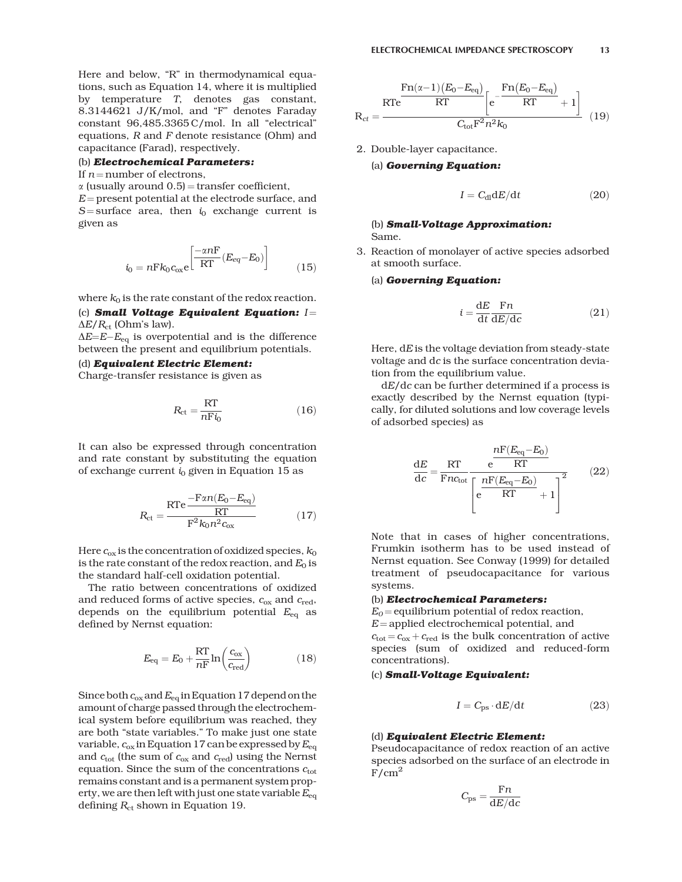Here and below, "R" in thermodynamical equations, such as Equation 14, where it is multiplied by temperature T, denotes gas constant, 8.3144621 J/K/mol, and "F" denotes Faraday constant 96,485.3365 C/mol. In all "electrical" equations, R and F denote resistance (Ohm) and capacitance (Farad), respectively.

#### (b) Electrochemical Parameters:

If  $n =$  number of electrons,

 $\alpha$  (usually around 0.5) = transfer coefficient,

 $E =$  present potential at the electrode surface, and S = surface area, then  $i_0$  exchange current is given as

$$
i_0 = nFk_0c_{\text{ox}}e^{\left[\frac{-\alpha nF}{RT}(E_{eq}-E_0)\right]}
$$
 (15)

where  $k_0$  is the rate constant of the redox reaction. (c) Small Voltage Equivalent Equation:  $I =$  $\Delta E/R_{\rm ct}$  (Ohm's law).

 $\Delta E=E-E_{\text{eq}}$  is overpotential and is the difference between the present and equilibrium potentials.

## (d) Equivalent Electric Element:

Charge-transfer resistance is given as

$$
R_{\rm ct} = \frac{\rm RT}{nF i_0} \tag{16}
$$

It can also be expressed through concentration and rate constant by substituting the equation of exchange current  $i_0$  given in Equation 15 as

$$
R_{\rm ct} = \frac{\rm RTe \frac{-F\alpha n(E_0 - E_{\rm eq})}{RT}}{F^2 k_0 n^2 c_{\rm ox}} \tag{17}
$$

Here  $c_{\text{ox}}$  is the concentration of oxidized species,  $k_0$ is the rate constant of the redox reaction, and  $E_0$  is the standard half-cell oxidation potential.

The ratio between concentrations of oxidized and reduced forms of active species,  $c_{ox}$  and  $c_{red}$ , depends on the equilibrium potential  $E_{eq}$  as defined by Nernst equation:

$$
E_{\text{eq}} = E_0 + \frac{\text{RT}}{n\text{F}} \ln\left(\frac{c_{\text{ox}}}{c_{\text{red}}}\right) \tag{18}
$$

Since both  $c_{ox}$  and  $E_{eq}$  in Equation 17 depend on the amount of charge passed through the electrochemical system before equilibrium was reached, they are both "state variables." To make just one state variable,  $c_{ox}$  in Equation 17 can be expressed by  $E_{eq}$ and  $c_{\text{tot}}$  (the sum of  $c_{\text{ox}}$  and  $c_{\text{red}}$ ) using the Nernst equation. Since the sum of the concentrations  $c_{\text{tot}}$ remains constant and is a permanent system property, we are then left with just one state variable  $E_{\text{eq}}$ defining  $R_{\text{ct}}$  shown in Equation 19.

$$
R_{ct} = \frac{\text{Fn}(\alpha - 1)(E_0 - E_{eq})}{RT} \left[ e^{-\frac{\text{Fn}(E_0 - E_{eq})}{RT}} + 1 \right]
$$
  

$$
R_{ct} = \frac{C_{tot}F^2n^2k_0}{(19)}
$$

2. Double-layer capacitance.

(a) Governing Equation:

$$
I = C_{\rm dl} dE/dt \tag{20}
$$

(b) Small-Voltage Approximation: Same.

3. Reaction of monolayer of active species adsorbed at smooth surface.

### (a) Governing Equation:

$$
i = \frac{\mathrm{d}E}{\mathrm{d}t} \frac{\mathrm{F}n}{\mathrm{d}E/\mathrm{d}c} \tag{21}
$$

Here, dE is the voltage deviation from steady-state voltage and dc is the surface concentration deviation from the equilibrium value.

dE/dc can be further determined if a process is exactly described by the Nernst equation (typically, for diluted solutions and low coverage levels of adsorbed species) as

$$
\frac{dE}{dc} = \frac{RT}{Fnc_{tot}} \frac{e^{\frac{2\pi i}{RT}}}{\left[e^{\frac{2\pi i}{RT}} + 1\right]^2}
$$
(22)

Note that in cases of higher concentrations, Frumkin isotherm has to be used instead of Nernst equation. See Conway (1999) for detailed treatment of pseudocapacitance for various systems.

#### (b) Electrochemical Parameters:

 $E_0$  = equilibrium potential of redox reaction,  $E =$  applied electrochemical potential, and  $c_{\text{tot}} = c_{\text{ox}} + c_{\text{red}}$  is the bulk concentration of active species (sum of oxidized and reduced-form concentrations).

## (c) Small-Voltage Equivalent:

$$
I = C_{\text{ps}} \cdot dE/dt \tag{23}
$$

#### (d) Equivalent Electric Element:

Pseudocapacitance of redox reaction of an active species adsorbed on the surface of an electrode in  $F/cm<sup>2</sup>$ 

$$
C_{\rm ps} = \frac{{\rm F}n}{{\rm d}E/{\rm d}c}
$$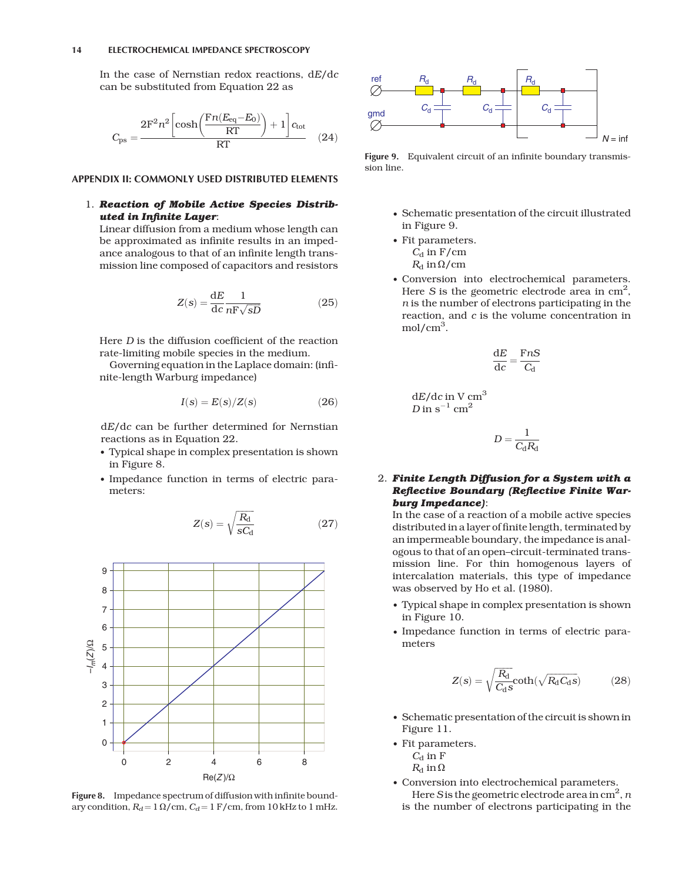## 14 ELECTROCHEMICAL IMPEDANCE SPECTROSCOPY

In the case of Nernstian redox reactions, dE/dc can be substituted from Equation 22 as

$$
C_{\text{ps}} = \frac{2F^2 n^2 \left[ \cosh\left(\frac{Fn(E_{\text{eq}} - E_0)}{RT}\right) + 1 \right] c_{\text{tot}}}{RT}
$$
 (24)

## APPENDIX II: COMMONLY USED DISTRIBUTED ELEMENTS

1. Reaction of Mobile Active Species Distributed in Infinite Layer:

Linear diffusion from a medium whose length can be approximated as infinite results in an impedance analogous to that of an infinite length transmission line composed of capacitors and resistors

$$
Z(s) = \frac{dE}{dc} \frac{1}{nF\sqrt{SD}}
$$
 (25)

Here D is the diffusion coefficient of the reaction rate-limiting mobile species in the medium.

Governing equation in the Laplace domain: (infinite-length Warburg impedance)

$$
I(s) = E(s)/Z(s) \tag{26}
$$

dE/dc can be further determined for Nernstian reactions as in Equation 22.

- . Typical shape in complex presentation is shown in Figure 8.
- . Impedance function in terms of electric parameters:

$$
Z(s) = \sqrt{\frac{R_{\rm d}}{sC_{\rm d}}}
$$
 (27)



Figure 8. Impedance spectrum of diffusion with infinite boundary condition,  $R_d = 1 \Omega/cm$ ,  $C_d = 1 \text{ F/cm}$ , from 10 kHz to 1 mHz.



Figure 9. Equivalent circuit of an infinite boundary transmission line.

- . Schematic presentation of the circuit illustrated in Figure 9.
- . Fit parameters.  $C_d$  in F/cm  $R_{\rm d}$  in  $\Omega$ /cm
- . Conversion into electrochemical parameters. Here S is the geometric electrode area in  $\text{cm}^2$ ,  $n$  is the number of electrons participating in the reaction, and c is the volume concentration in mol/cm<sup>3</sup> .

$$
\frac{dE}{dc} = \frac{FnS}{C_d}
$$

 $dE/dc$  in V cm<sup>3</sup>  $D \text{ in } \text{s}^{-1} \text{ cm}^2$ 

$$
D=\frac{1}{C_{\rm d}R_{\rm d}}
$$

# 2. Finite Length Diffusion for a System with a Reflective Boundary (Reflective Finite Warburg Impedance):

In the case of a reaction of a mobile active species distributed in a layer of finite length, terminated by an impermeable boundary, the impedance is analogous to that of an open–circuit-terminated transmission line. For thin homogenous layers of intercalation materials, this type of impedance was observed by Ho et al. (1980).

- . Typical shape in complex presentation is shown in Figure 10.
- . Impedance function in terms of electric parameters

$$
Z(s) = \sqrt{\frac{R_{\rm d}}{C_{\rm d}s}} \coth(\sqrt{R_{\rm d}C_{\rm d}s})
$$
 (28)

- . Schematic presentation of the circuit is shown in Figure 11.
- . Fit parameters.

 $C_d$  in  $F$ 

 $R_{\rm d}$  in  $\Omega$ 

. Conversion into electrochemical parameters. Here S is the geometric electrode area in cm<sup>2</sup>, n is the number of electrons participating in the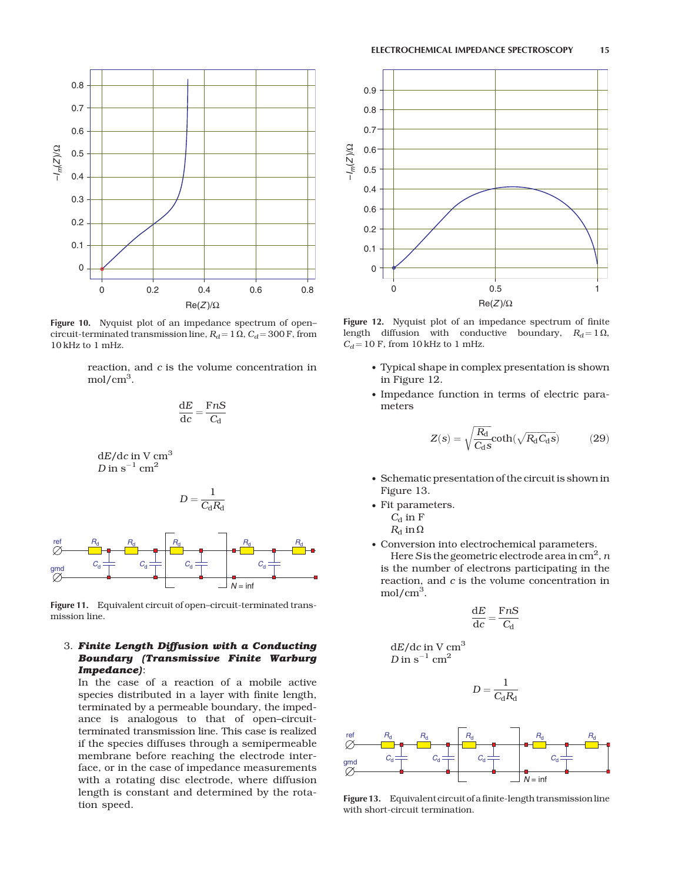

Figure 10. Nyquist plot of an impedance spectrum of open– circuit-terminated transmission line,  $R_d = 1 \Omega$ ,  $C_d = 300$  F, from 10 kHz to 1 mHz.

reaction, and c is the volume concentration in mol/cm<sup>3</sup> .

$$
\frac{dE}{dc} = \frac{FnS}{C_d}
$$

$$
\frac{dE}{dc} \text{ in } V \text{ cm}^3
$$
  

$$
D \text{ in } s^{-1} \text{ cm}^2
$$

$$
D = \frac{1}{C_{\rm d}R_{\rm d}}
$$



Figure 11. Equivalent circuit of open–circuit-terminated transmission line.

## 3. Finite Length Diffusion with a Conducting Boundary (Transmissive Finite Warburg Impedance):

In the case of a reaction of a mobile active species distributed in a layer with finite length, terminated by a permeable boundary, the impedance is analogous to that of open–circuitterminated transmission line. This case is realized if the species diffuses through a semipermeable membrane before reaching the electrode interface, or in the case of impedance measurements with a rotating disc electrode, where diffusion length is constant and determined by the rotation speed.



Figure 12. Nyquist plot of an impedance spectrum of finite length diffusion with conductive boundary,  $R_d = 1 \Omega$ ,  $C_d = 10$  F, from 10 kHz to 1 mHz.

- . Typical shape in complex presentation is shown in Figure 12.
- . Impedance function in terms of electric parameters

$$
Z(s) = \sqrt{\frac{R_{\rm d}}{C_{\rm d}s}} \coth(\sqrt{R_{\rm d}C_{\rm d}s})
$$
 (29)

- . Schematic presentation of the circuit is shown in Figure 13.
- . Fit parameters.  $C_d$  in F

$$
R_{\rm d}\,\rm{in}\,\Omega
$$

. Conversion into electrochemical parameters. Here  $S$  is the geometric electrode area in cm $^2$ ,  $\emph{n}$ is the number of electrons participating in the reaction, and c is the volume concentration in mol/cm<sup>3</sup> .

$$
\frac{dE}{dc} = \frac{FnS}{C_d}
$$

 $dE/dc$  in V  $cm<sup>3</sup>$ D in  $s^{-1}$  cm<sup>2</sup>

$$
D=\frac{1}{C_{\rm d}R_{\rm d}}
$$



Figure 13. Equivalent circuit of a finite-length transmission line with short-circuit termination.